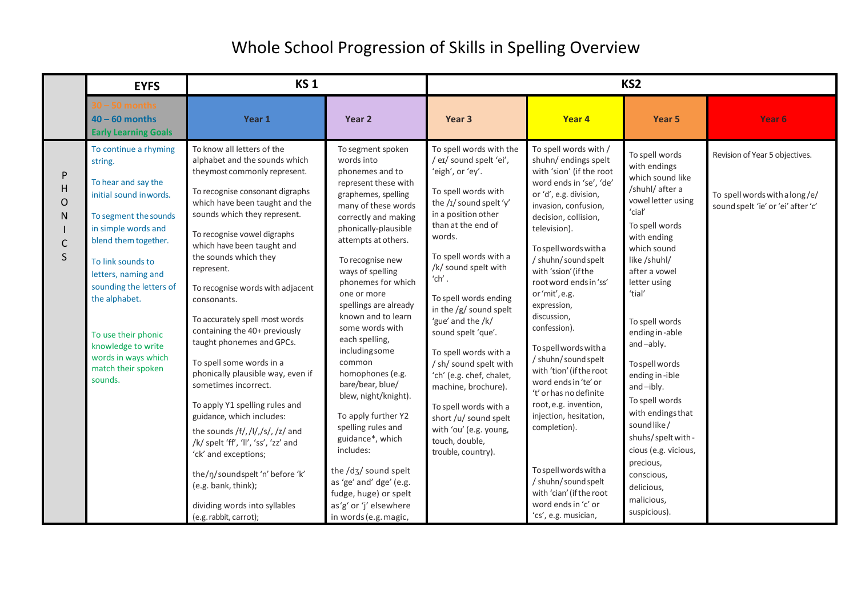|                                               | <b>EYFS</b>                                                                                                                                                                                                                                                                                                                                            | <b>KS1</b>                                                                                                                                                                                                                                                                                                                                                                                                                                                                                                                                                                                                                                                                                                                                                                                                                             |                                                                                                                                                                                                                                                                                                                                                                                                                                                                                                                                                                                                                                                                           | KS <sub>2</sub>                                                                                                                                                                                                                                                                                                                                                                                                                                                                                                                                                        |                                                                                                                                                                                                                                                                                                                                                                                                                                                                                                                                                                                                                                                                                                |                                                                                                                                                                                                                                                                                                                                                                                                                                                                                             |                                                                                                       |
|-----------------------------------------------|--------------------------------------------------------------------------------------------------------------------------------------------------------------------------------------------------------------------------------------------------------------------------------------------------------------------------------------------------------|----------------------------------------------------------------------------------------------------------------------------------------------------------------------------------------------------------------------------------------------------------------------------------------------------------------------------------------------------------------------------------------------------------------------------------------------------------------------------------------------------------------------------------------------------------------------------------------------------------------------------------------------------------------------------------------------------------------------------------------------------------------------------------------------------------------------------------------|---------------------------------------------------------------------------------------------------------------------------------------------------------------------------------------------------------------------------------------------------------------------------------------------------------------------------------------------------------------------------------------------------------------------------------------------------------------------------------------------------------------------------------------------------------------------------------------------------------------------------------------------------------------------------|------------------------------------------------------------------------------------------------------------------------------------------------------------------------------------------------------------------------------------------------------------------------------------------------------------------------------------------------------------------------------------------------------------------------------------------------------------------------------------------------------------------------------------------------------------------------|------------------------------------------------------------------------------------------------------------------------------------------------------------------------------------------------------------------------------------------------------------------------------------------------------------------------------------------------------------------------------------------------------------------------------------------------------------------------------------------------------------------------------------------------------------------------------------------------------------------------------------------------------------------------------------------------|---------------------------------------------------------------------------------------------------------------------------------------------------------------------------------------------------------------------------------------------------------------------------------------------------------------------------------------------------------------------------------------------------------------------------------------------------------------------------------------------|-------------------------------------------------------------------------------------------------------|
|                                               | $0 - 50$ months<br>$40 - 60$ months<br><b>Early Learning Goals</b>                                                                                                                                                                                                                                                                                     | Year 1                                                                                                                                                                                                                                                                                                                                                                                                                                                                                                                                                                                                                                                                                                                                                                                                                                 | Year <sub>2</sub>                                                                                                                                                                                                                                                                                                                                                                                                                                                                                                                                                                                                                                                         | Year 3                                                                                                                                                                                                                                                                                                                                                                                                                                                                                                                                                                 | Year 4                                                                                                                                                                                                                                                                                                                                                                                                                                                                                                                                                                                                                                                                                         | Year 5                                                                                                                                                                                                                                                                                                                                                                                                                                                                                      | Year 6                                                                                                |
| P<br>H<br>O<br>${\sf N}$<br>$\mathsf{C}$<br>S | To continue a rhyming<br>string.<br>To hear and say the<br>initial sound inwords.<br>To segment the sounds<br>in simple words and<br>blend them together.<br>To link sounds to<br>letters, naming and<br>sounding the letters of<br>the alphabet.<br>To use their phonic<br>knowledge to write<br>words in ways which<br>match their spoken<br>sounds. | To know all letters of the<br>alphabet and the sounds which<br>theymost commonly represent.<br>To recognise consonant digraphs<br>which have been taught and the<br>sounds which they represent.<br>To recognise vowel digraphs<br>which have been taught and<br>the sounds which they<br>represent.<br>To recognise words with adjacent<br>consonants.<br>To accurately spell most words<br>containing the 40+ previously<br>taught phonemes and GPCs.<br>To spell some words in a<br>phonically plausible way, even if<br>sometimes incorrect.<br>To apply Y1 spelling rules and<br>guidance, which includes:<br>the sounds /f/,/l/,/s/,/z/ and<br>/k/ spelt 'ff', 'll', 'ss', 'zz' and<br>'ck' and exceptions;<br>the/ŋ/soundspelt 'n' before 'k'<br>(e.g. bank, think);<br>dividing words into syllables<br>(e.g. rabbit, carrot); | To segment spoken<br>words into<br>phonemes and to<br>represent these with<br>graphemes, spelling<br>many of these words<br>correctly and making<br>phonically-plausible<br>attempts at others.<br>To recognise new<br>ways of spelling<br>phonemes for which<br>one or more<br>spellings are already<br>known and to learn<br>some words with<br>each spelling,<br>including some<br>common<br>homophones (e.g.<br>bare/bear, blue/<br>blew, night/knight).<br>To apply further Y2<br>spelling rules and<br>guidance*, which<br>includes:<br>the /dʒ/ sound spelt<br>as 'ge' and' dge' (e.g.<br>fudge, huge) or spelt<br>as'g' or 'j' elsewhere<br>in words (e.g. magic, | To spell words with the<br>/ eɪ/ sound spelt 'ei',<br>'eigh', or 'ey'.<br>To spell words with<br>the /I/ sound spelt 'y'<br>in a position other<br>than at the end of<br>words.<br>To spell words with a<br>/k/ sound spelt with<br>$'$ ch'.<br>To spell words ending<br>in the $/g/$ sound spelt<br>'gue' and the /k/<br>sound spelt 'que'.<br>To spell words with a<br>/ sh/ sound spelt with<br>'ch' (e.g. chef, chalet,<br>machine, brochure).<br>To spell words with a<br>short /u/ sound spelt<br>with 'ou' (e.g. young,<br>touch, double,<br>trouble, country). | To spell words with /<br>shuhn/ endings spelt<br>with 'sion' (if the root<br>word ends in 'se', 'de'<br>or 'd', e.g. division,<br>invasion, confusion,<br>decision, collision,<br>television).<br>To spell words with a<br>/ shuhn/ sound spelt<br>with 'ssion' (if the<br>root word ends in 'ss'<br>or'mit', e.g.<br>expression,<br>discussion,<br>confession).<br>To spell words with a<br>/ shuhn/ sound spelt<br>with 'tion' (if the root<br>word ends in 'te' or<br>'t' or has no definite<br>root, e.g. invention,<br>injection, hesitation,<br>completion).<br>To spell words with a<br>/ shuhn/ sound spelt<br>with 'cian' (if the root<br>word ends in 'c' or<br>'cs', e.g. musician, | To spell words<br>with endings<br>which sound like<br>/shuhl/ after a<br>vowel letter using<br>'cial'<br>To spell words<br>with ending<br>which sound<br>like /shuhl/<br>after a vowel<br>letter using<br>'tial'<br>To spell words<br>ending in-able<br>and-ably.<br>To spell words<br>ending in-ible<br>and-ibly.<br>To spell words<br>with endings that<br>sound like/<br>shuhs/speltwith-<br>cious (e.g. vicious,<br>precious,<br>conscious,<br>delicious,<br>malicious,<br>suspicious). | Revision of Year 5 objectives.<br>To spell words with a long/e/<br>sound spelt 'ie' or 'ei' after 'c' |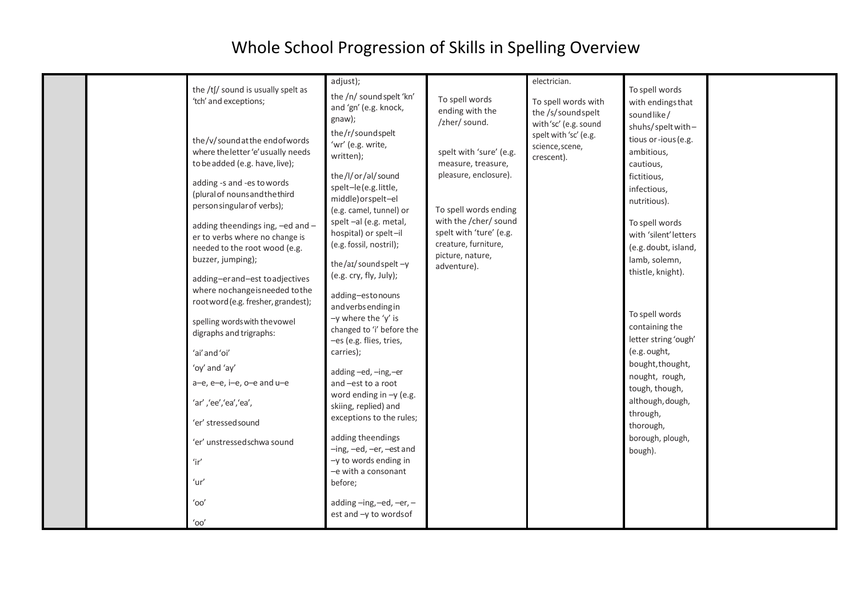|                                                                                             |                                                                                                                                                                                                                                                                                                                                                                 | adjust);                                                                                                                                                                                                                                                                           |                                                                                                                                                                                                                | electrician.                                                                                      |                                                                                                                                                                                                       |  |
|---------------------------------------------------------------------------------------------|-----------------------------------------------------------------------------------------------------------------------------------------------------------------------------------------------------------------------------------------------------------------------------------------------------------------------------------------------------------------|------------------------------------------------------------------------------------------------------------------------------------------------------------------------------------------------------------------------------------------------------------------------------------|----------------------------------------------------------------------------------------------------------------------------------------------------------------------------------------------------------------|---------------------------------------------------------------------------------------------------|-------------------------------------------------------------------------------------------------------------------------------------------------------------------------------------------------------|--|
|                                                                                             | the /tʃ/ sound is usually spelt as<br>'tch' and exceptions;                                                                                                                                                                                                                                                                                                     | the /n/ sound spelt 'kn'<br>and 'gn' (e.g. knock,<br>gnaw);                                                                                                                                                                                                                        | To spell words<br>ending with the<br>/zher/ sound.                                                                                                                                                             | To spell words with<br>the /s/soundspelt<br>with'sc' (e.g. sound                                  | To spell words<br>with endings that<br>soundlike/<br>shuhs/speltwith-                                                                                                                                 |  |
|                                                                                             | the/v/soundatthe endofwords<br>where the letter 'e' usually needs<br>to be added (e.g. have, live);<br>adding -s and -es to words<br>(plural of nouns and the third<br>person singular of verbs);<br>adding theendings ing, -ed and -<br>er to verbs where no change is<br>needed to the root wood (e.g.<br>buzzer, jumping);<br>adding-erand-est to adjectives | the/r/soundspelt<br>'wr' (e.g. write,<br>written);<br>the/I/or/al/sound<br>spelt-le(e.g.little,<br>middle)orspelt-el<br>(e.g. camel, tunnel) or<br>spelt-al (e.g. metal,<br>hospital) or spelt-il<br>(e.g. fossil, nostril);<br>the/aɪ/ sound spelt $-y$<br>(e.g. cry, fly, July); | spelt with 'sure' (e.g.<br>measure, treasure,<br>pleasure, enclosure).<br>To spell words ending<br>with the /cher/ sound<br>spelt with 'ture' (e.g.<br>creature, furniture,<br>picture, nature,<br>adventure). | spelt with 'sc' (e.g.<br>science, scene,<br>crescent).                                            | tious or-ious (e.g.<br>ambitious,<br>cautious,<br>fictitious,<br>infectious,<br>nutritious).<br>To spell words<br>with 'silent' letters<br>(e.g. doubt, island,<br>lamb, solemn,<br>thistle, knight). |  |
|                                                                                             | where nochange is needed to the<br>root word (e.g. fresher, grandest);<br>spelling words with the vowel<br>digraphs and trigraphs:                                                                                                                                                                                                                              | adding-estonouns<br>and verbs ending in<br>$-y$ where the 'y' is<br>changed to 'i' before the<br>-es (e.g. flies, tries,                                                                                                                                                           |                                                                                                                                                                                                                |                                                                                                   | To spell words<br>containing the<br>letter string 'ough'                                                                                                                                              |  |
|                                                                                             | 'ai' and 'oi'                                                                                                                                                                                                                                                                                                                                                   | carries);                                                                                                                                                                                                                                                                          |                                                                                                                                                                                                                |                                                                                                   | (e.g. ought,                                                                                                                                                                                          |  |
| 'oy' and 'ay'<br>a-e, e-e, i-e, o-e and u-e<br>'ar' ,'ee','ea','ea',<br>'er' stressed sound | adding-ed,-ing,-er<br>and -est to a root<br>word ending in $-y$ (e.g.<br>skiing, replied) and<br>exceptions to the rules;                                                                                                                                                                                                                                       |                                                                                                                                                                                                                                                                                    |                                                                                                                                                                                                                | bought, thought,<br>nought, rough,<br>tough, though,<br>although, dough,<br>through,<br>thorough, |                                                                                                                                                                                                       |  |
|                                                                                             | 'er' unstressedschwa sound<br>'ir'                                                                                                                                                                                                                                                                                                                              | adding theendings<br>-ing, -ed, -er, -est and<br>-y to words ending in<br>-e with a consonant                                                                                                                                                                                      |                                                                                                                                                                                                                |                                                                                                   | borough, plough,<br>bough).                                                                                                                                                                           |  |
|                                                                                             | 'ur'                                                                                                                                                                                                                                                                                                                                                            | before;                                                                                                                                                                                                                                                                            |                                                                                                                                                                                                                |                                                                                                   |                                                                                                                                                                                                       |  |
|                                                                                             | 'oo'<br>'oo'                                                                                                                                                                                                                                                                                                                                                    | adding-ing,-ed,-er,-<br>est and -y to words of                                                                                                                                                                                                                                     |                                                                                                                                                                                                                |                                                                                                   |                                                                                                                                                                                                       |  |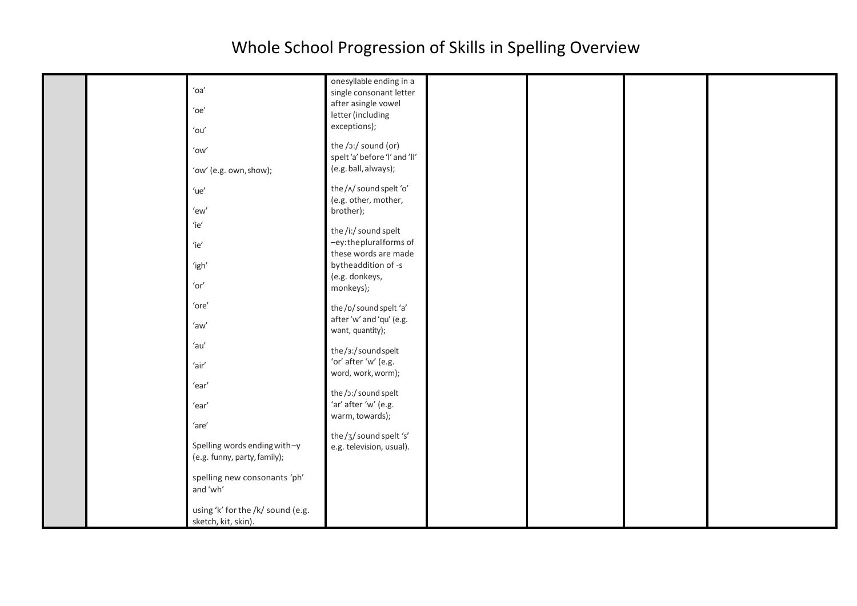|  |                                   | onesyllable ending in a       |  |  |
|--|-----------------------------------|-------------------------------|--|--|
|  | 'oa'                              | single consonant letter       |  |  |
|  |                                   |                               |  |  |
|  | $'$ oe'                           | after asingle vowel           |  |  |
|  |                                   | letter (including             |  |  |
|  |                                   | exceptions);                  |  |  |
|  | $'$ ou'                           |                               |  |  |
|  |                                   | the /ɔː/ sound (or)           |  |  |
|  | $'ow'$                            |                               |  |  |
|  |                                   | spelt 'a' before 'l' and 'll' |  |  |
|  | 'ow' (e.g. own, show);            | (e.g. ball, always);          |  |  |
|  |                                   |                               |  |  |
|  | $'$ ue'                           | the/^/sound spelt 'o'         |  |  |
|  |                                   |                               |  |  |
|  |                                   | (e.g. other, mother,          |  |  |
|  | 'ew'                              | brother);                     |  |  |
|  | 'ie'                              |                               |  |  |
|  |                                   | the /i:/ sound spelt          |  |  |
|  |                                   | -ey:thepluralforms of         |  |  |
|  | 'ie'                              |                               |  |  |
|  |                                   | these words are made          |  |  |
|  | 'igh'                             | bytheaddition of -s           |  |  |
|  |                                   | (e.g. donkeys,                |  |  |
|  | 'or'                              | monkeys);                     |  |  |
|  |                                   |                               |  |  |
|  | 'ore'                             |                               |  |  |
|  |                                   | the/p/sound spelt 'a'         |  |  |
|  | 'aw'                              | after 'w' and 'qu' (e.g.      |  |  |
|  |                                   | want, quantity);              |  |  |
|  |                                   |                               |  |  |
|  | 'au'                              | the/3:/soundspelt             |  |  |
|  |                                   |                               |  |  |
|  | $'$ air $'$                       | 'or' after 'w' (e.g.          |  |  |
|  |                                   | word, work, worm);            |  |  |
|  | 'ear'                             |                               |  |  |
|  |                                   | the /ɔː/ sound spelt          |  |  |
|  | 'ear'                             | 'ar' after 'w' (e.g.          |  |  |
|  |                                   |                               |  |  |
|  |                                   | warm, towards);               |  |  |
|  | 'are'                             |                               |  |  |
|  |                                   | the/3/sound spelt 's'         |  |  |
|  | Spelling words ending with-y      | e.g. television, usual).      |  |  |
|  | (e.g. funny, party, family);      |                               |  |  |
|  |                                   |                               |  |  |
|  | spelling new consonants 'ph'      |                               |  |  |
|  |                                   |                               |  |  |
|  | and 'wh'                          |                               |  |  |
|  |                                   |                               |  |  |
|  | using 'k' for the /k/ sound (e.g. |                               |  |  |
|  | sketch, kit, skin).               |                               |  |  |
|  |                                   |                               |  |  |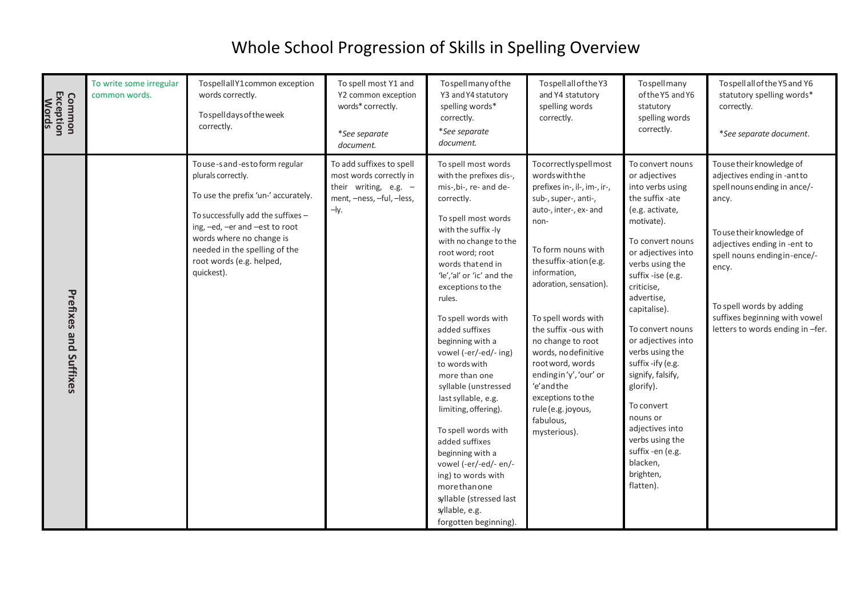| <b>Common<br/>Exception<br/>Words</b> | To write some irregular<br>common words. | TospellallY1common exception<br>words correctly.<br>Tospell days of the week<br>correctly.                                                                                                                                                                                | To spell most Y1 and<br>Y2 common exception<br>words* correctly.<br>*See separate<br>document.                       | To spell many of the<br>Y3 and Y4 statutory<br>spelling words*<br>correctly.<br>*See separate<br>document.                                                                                                                                                                                                                                                                                                                                                                                                                                                                                                                                                        | To spell all of the Y3<br>and Y4 statutory<br>spelling words<br>correctly.                                                                                                                                                                                                                                                                                                                                                                               | Tospellmany<br>of the Y5 and Y6<br>statutory<br>spelling words<br>correctly.                                                                                                                                                                                                                                                                                                                                                                                                         | To spell all of the Y5 and Y6<br>statutory spelling words*<br>correctly.<br>*See separate document.                                                                                                                                                                                                      |
|---------------------------------------|------------------------------------------|---------------------------------------------------------------------------------------------------------------------------------------------------------------------------------------------------------------------------------------------------------------------------|----------------------------------------------------------------------------------------------------------------------|-------------------------------------------------------------------------------------------------------------------------------------------------------------------------------------------------------------------------------------------------------------------------------------------------------------------------------------------------------------------------------------------------------------------------------------------------------------------------------------------------------------------------------------------------------------------------------------------------------------------------------------------------------------------|----------------------------------------------------------------------------------------------------------------------------------------------------------------------------------------------------------------------------------------------------------------------------------------------------------------------------------------------------------------------------------------------------------------------------------------------------------|--------------------------------------------------------------------------------------------------------------------------------------------------------------------------------------------------------------------------------------------------------------------------------------------------------------------------------------------------------------------------------------------------------------------------------------------------------------------------------------|----------------------------------------------------------------------------------------------------------------------------------------------------------------------------------------------------------------------------------------------------------------------------------------------------------|
| <b>Prefixes and</b><br>Suffixes       |                                          | To use-sand-esto form regular<br>plurals correctly.<br>To use the prefix 'un-' accurately.<br>To successfully add the suffixes -<br>ing, -ed, -er and -est to root<br>words where no change is<br>needed in the spelling of the<br>root words (e.g. helped,<br>quickest). | To add suffixes to spell<br>most words correctly in<br>their writing, e.g. -<br>ment, -ness, -ful, -less,<br>$-$ ly. | To spell most words<br>with the prefixes dis-,<br>mis-, bi-, re- and de-<br>correctly.<br>To spell most words<br>with the suffix -ly<br>with no change to the<br>root word; root<br>words that end in<br>'le','al' or 'ic' and the<br>exceptions to the<br>rules.<br>To spell words with<br>added suffixes<br>beginning with a<br>vowel (-er/-ed/- ing)<br>to words with<br>more than one<br>syllable (unstressed<br>last syllable, e.g.<br>limiting, offering).<br>To spell words with<br>added suffixes<br>beginning with a<br>vowel (-er/-ed/- en/-<br>ing) to words with<br>morethanone<br>syllable (stressed last<br>syllable, e.g.<br>forgotten beginning). | Tocorrectlyspellmost<br>wordswiththe<br>prefixes in-, il-, im-, ir-,<br>sub-, super-, anti-,<br>auto-, inter-, ex- and<br>non-<br>To form nouns with<br>the suffix-ation (e.g.<br>information,<br>adoration, sensation).<br>To spell words with<br>the suffix -ous with<br>no change to root<br>words, no definitive<br>root word, words<br>endingin'y', 'our' or<br>'e' and the<br>exceptions to the<br>rule (e.g. joyous,<br>fabulous,<br>mysterious). | To convert nouns<br>or adjectives<br>into verbs using<br>the suffix -ate<br>(e.g. activate,<br>motivate).<br>To convert nouns<br>or adjectives into<br>verbs using the<br>suffix -ise (e.g.<br>criticise,<br>advertise,<br>capitalise).<br>To convert nouns<br>or adjectives into<br>verbs using the<br>suffix-ify (e.g.<br>signify, falsify,<br>glorify).<br>To convert<br>nouns or<br>adjectives into<br>verbs using the<br>suffix -en (e.g.<br>blacken,<br>brighten,<br>flatten). | To use their knowledge of<br>adjectives ending in -ant to<br>spell nouns ending in ance/-<br>ancy.<br>To use their knowledge of<br>adjectives ending in -ent to<br>spell nouns endingin-ence/-<br>ency.<br>To spell words by adding<br>suffixes beginning with vowel<br>letters to words ending in -fer. |